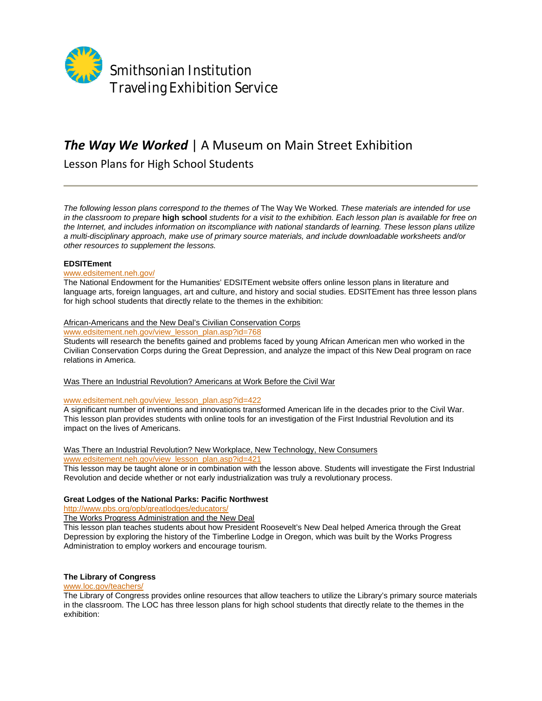

# *The Way We Worked* | A Museum on Main Street Exhibition

Lesson Plans for High School Students

*The following lesson plans correspond to the themes of* The Way We Worked*. These materials are intended for use in the classroom to prepare* **high school** *students for a visit to the exhibition. Each lesson plan is available for free on the Internet, and includes information on itscompliance with national standards of learning. These lesson plans utilize a multi-disciplinary approach, make use of primary source materials, and include downloadable worksheets and/or other resources to supplement the lessons.* 

#### **EDSITEment**

#### www.edsitement.neh.gov/

The National Endowment for the Humanities' EDSITEment website offers online lesson plans in literature and language arts, foreign languages, art and culture, and history and social studies. EDSITEment has three lesson plans for high school students that directly relate to the themes in the exhibition:

# African-Americans and the New Deal's Civilian Conservation Corps

www.edsitement.neh.gov/view\_lesson\_plan.asp?id=768

Students will research the benefits gained and problems faced by young African American men who worked in the Civilian Conservation Corps during the Great Depression, and analyze the impact of this New Deal program on race relations in America.

Was There an Industrial Revolution? Americans at Work Before the Civil War

#### www.edsitement.neh.gov/view\_lesson\_plan.asp?id=422

A significant number of inventions and innovations transformed American life in the decades prior to the Civil War. This lesson plan provides students with online tools for an investigation of the First Industrial Revolution and its impact on the lives of Americans.

# Was There an Industrial Revolution? New Workplace, New Technology, New Consumers

www.edsitement.neh.gov/view\_lesson\_plan.asp?id=421

This lesson may be taught alone or in combination with the lesson above. Students will investigate the First Industrial Revolution and decide whether or not early industrialization was truly a revolutionary process.

# **Great Lodges of the National Parks: Pacific Northwest**

http://www.pbs.org/opb/greatlodges/educators/

The Works Progress Administration and the New Deal

This lesson plan teaches students about how President Roosevelt's New Deal helped America through the Great Depression by exploring the history of the Timberline Lodge in Oregon, which was built by the Works Progress Administration to employ workers and encourage tourism.

# **The Library of Congress**

#### www.loc.gov/teachers/

The Library of Congress provides online resources that allow teachers to utilize the Library's primary source materials in the classroom. The LOC has three lesson plans for high school students that directly relate to the themes in the exhibition: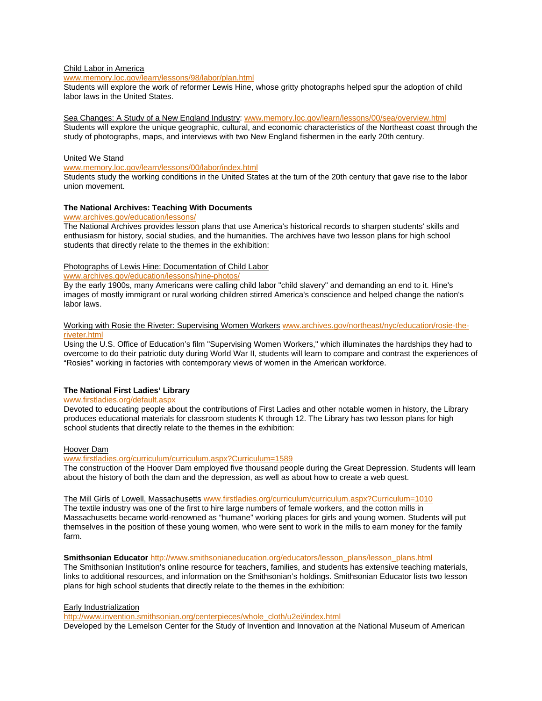#### Child Labor in America

www.memory.loc.gov/learn/lessons/98/labor/plan.html

Students will explore the work of reformer Lewis Hine, whose gritty photographs helped spur the adoption of child labor laws in the United States.

Sea Changes: A Study of a New England Industry: www.memory.loc.gov/learn/lessons/00/sea/overview.html Students will explore the unique geographic, cultural, and economic characteristics of the Northeast coast through the study of photographs, maps, and interviews with two New England fishermen in the early 20th century.

#### United We Stand

www.memory.loc.gov/learn/lessons/00/labor/index.html

Students study the working conditions in the United States at the turn of the 20th century that gave rise to the labor union movement.

#### **The National Archives: Teaching With Documents**

www.archives.gov/education/lessons/

The National Archives provides lesson plans that use America's historical records to sharpen students' skills and enthusiasm for history, social studies, and the humanities. The archives have two lesson plans for high school students that directly relate to the themes in the exhibition:

#### Photographs of Lewis Hine: Documentation of Child Labor

www.archives.gov/education/lessons/hine-photos/

By the early 1900s, many Americans were calling child labor "child slavery" and demanding an end to it. Hine's images of mostly immigrant or rural working children stirred America's conscience and helped change the nation's labor laws.

#### Working with Rosie the Riveter: Supervising Women Workers www.archives.gov/northeast/nyc/education/rosie-theriveter.html

Using the U.S. Office of Education's film "Supervising Women Workers," which illuminates the hardships they had to overcome to do their patriotic duty during World War II, students will learn to compare and contrast the experiences of "Rosies" working in factories with contemporary views of women in the American workforce.

# **The National First Ladies' Library**

# www.firstladies.org/default.aspx

Devoted to educating people about the contributions of First Ladies and other notable women in history, the Library produces educational materials for classroom students K through 12. The Library has two lesson plans for high school students that directly relate to the themes in the exhibition:

#### Hoover Dam

www.firstladies.org/curriculum/curriculum.aspx?Curriculum=1589

The construction of the Hoover Dam employed five thousand people during the Great Depression. Students will learn about the history of both the dam and the depression, as well as about how to create a web quest.

#### The Mill Girls of Lowell, Massachusetts www.firstladies.org/curriculum/curriculum.aspx?Curriculum=1010

The textile industry was one of the first to hire large numbers of female workers, and the cotton mills in Massachusetts became world-renowned as "humane" working places for girls and young women. Students will put themselves in the position of these young women, who were sent to work in the mills to earn money for the family farm.

**Smithsonian Educator** http://www.smithsonianeducation.org/educators/lesson\_plans/lesson\_plans.html

The Smithsonian Institution's online resource for teachers, families, and students has extensive teaching materials, links to additional resources, and information on the Smithsonian's holdings. Smithsonian Educator lists two lesson plans for high school students that directly relate to the themes in the exhibition:

#### Early Industrialization

http://www.invention.smithsonian.org/centerpieces/whole\_cloth/u2ei/index.html

Developed by the Lemelson Center for the Study of Invention and Innovation at the National Museum of American